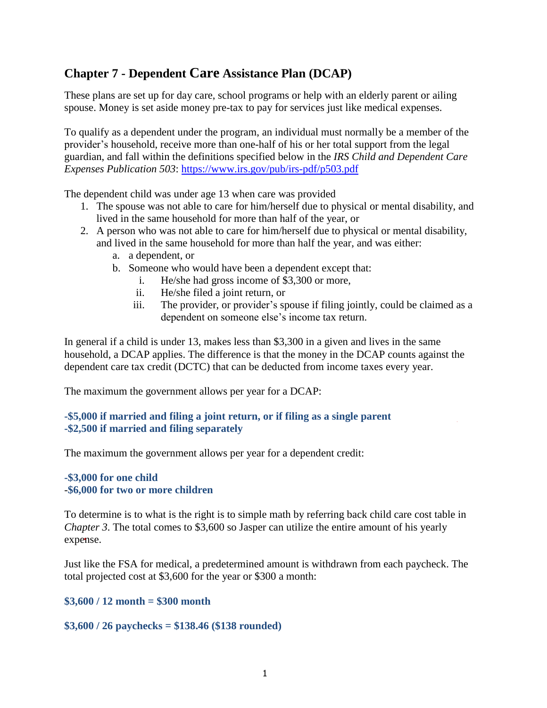## **Chapter 7 - Dependent Care Assistance Plan (DCAP)**

These plans are set up for day care, school programs or help with an elderly parent or ailing spouse. Money is set aside money pre-tax to pay for services just like medical expenses.

To qualify as a dependent under the program, an individual must normally be a member of the provider's household, receive more than one-half of his or her total support from the legal guardian, and fall within the definitions specified below in the *[IRS Child and Dependent Care](http://www.irs.gov/pub/irs-pdf/p503.pdf)  [Expenses Publication 503](http://www.irs.gov/pub/irs-pdf/p503.pdf)*:<https://www.irs.gov/pub/irs-pdf/p503.pdf>

The dependent child was under age 13 when care was provided

- 1. The spouse was not able to care for him/herself due to physical or mental disability, and lived in the same household for more than half of the year, or
- 2. A person who was not able to care for him/herself due to physical or mental disability, and lived in the same household for more than half the year, and was either:
	- a. a dependent, or
	- b. Someone who would have been a dependent except that:
		- i. He/she had gross income of \$3,300 or more,
		- ii. He/she filed a joint return, or
		- iii. The provider, or provider's spouse if filing jointly, could be claimed as a dependent on someone else's income tax return.

In general if a child is under 13, makes less than \$3,300 in a given and lives in the same household, a DCAP applies. The difference is that the money in the DCAP counts against the dependent care tax credit (DCTC) that can be deducted from income taxes every year.

The maximum the government allows per year for a DCAP:

## **-\$5,000 if married and filing a joint return, or if filing as a single parent -\$2,500 if married and filing separately**

The maximum the government allows per year for a dependent credit:

#### **-\$3,000 for one child** -**\$6,000 for two or more children**

To determine is to what is the right is to simple math by referring back child care cost table in *Chapter 3*. The total comes to \$3,600 so Jasper can utilize the entire amount of his yearly expense.

Just like the FSA for medical, a predetermined amount is withdrawn from each paycheck. The total projected cost at \$3,600 for the year or \$300 a month:

## **\$3,600 / 12 month = \$300 month**

## **\$3,600 / 26 paychecks = \$138.46 (\$138 rounded)**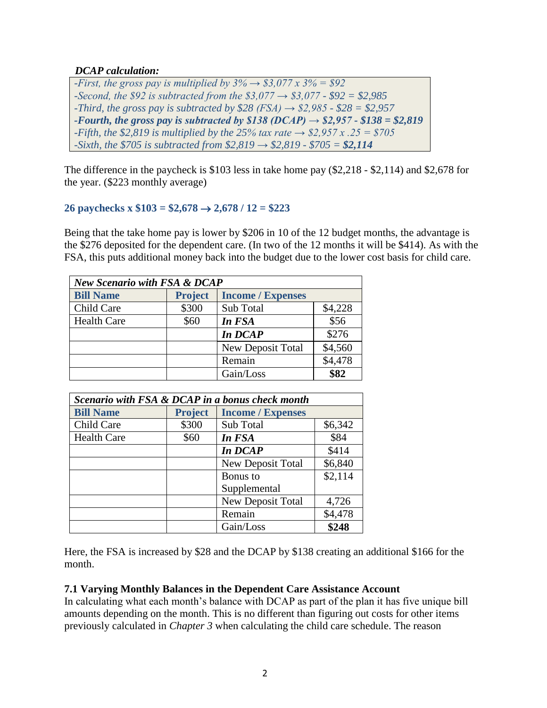## *DCAP calculation:*

*-First, the gross pay is multiplied by*  $3\% \rightarrow $3,077 \times 3\% = $92$ *-Second, the \$92 is subtracted from the \$3,077 → \$3,077 - \$92 = \$2,985 -Third, the gross pay is subtracted by \$28 (FSA)*  $\rightarrow$  *\$2,985 - \$28 = \$2,957 -Fourth, the gross pay is subtracted by \$138 (DCAP) → \$2,957 - \$138 = \$2,819 -Fifth, the \$2,819 is multiplied by the 25% tax rate*  $\rightarrow$  \$2,957 x .25 = \$705 *-Sixth, the \$705 is subtracted from \$2,819 → \$2,819 - \$705 = \$2,114*

The difference in the paycheck is \$103 less in take home pay (\$2,218 - \$2,114) and \$2,678 for the year. (\$223 monthly average)

## **26 paychecks x**  $$103 = $2,678 \rightarrow 2,678 / 12 = $223$

Being that the take home pay is lower by \$206 in 10 of the 12 budget months, the advantage is the \$276 deposited for the dependent care. (In two of the 12 months it will be \$414). As with the FSA, this puts additional money back into the budget due to the lower cost basis for child care.

| <b>New Scenario with FSA &amp; DCAP</b> |                |                          |         |  |
|-----------------------------------------|----------------|--------------------------|---------|--|
| <b>Bill Name</b>                        | <b>Project</b> | <b>Income / Expenses</b> |         |  |
| Child Care                              | \$300          | Sub Total                | \$4,228 |  |
| <b>Health Care</b>                      | \$60           | In FSA                   | \$56    |  |
|                                         |                | In DCAP                  | \$276   |  |
|                                         |                | New Deposit Total        | \$4,560 |  |
|                                         |                | Remain                   | \$4,478 |  |
|                                         |                | Gain/Loss                | \$82    |  |

| Scenario with FSA & DCAP in a bonus check month |                |                          |         |  |  |
|-------------------------------------------------|----------------|--------------------------|---------|--|--|
| <b>Bill Name</b>                                | <b>Project</b> | <b>Income</b> / Expenses |         |  |  |
| Child Care                                      | \$300          | Sub Total                | \$6,342 |  |  |
| <b>Health Care</b>                              | \$60           | In FSA                   | \$84    |  |  |
|                                                 |                | In DCAP                  | \$414   |  |  |
|                                                 |                | New Deposit Total        | \$6,840 |  |  |
|                                                 |                | Bonus to                 | \$2,114 |  |  |
|                                                 |                | Supplemental             |         |  |  |
|                                                 |                | New Deposit Total        | 4,726   |  |  |
|                                                 |                | Remain                   | \$4,478 |  |  |
|                                                 |                | Gain/Loss                | \$248   |  |  |

Here, the FSA is increased by \$28 and the DCAP by \$138 creating an additional \$166 for the month.

## **7.1 Varying Monthly Balances in the Dependent Care Assistance Account**

In calculating what each month's balance with DCAP as part of the plan it has five unique bill amounts depending on the month. This is no different than figuring out costs for other items previously calculated in *Chapter 3* when calculating the child care schedule. The reason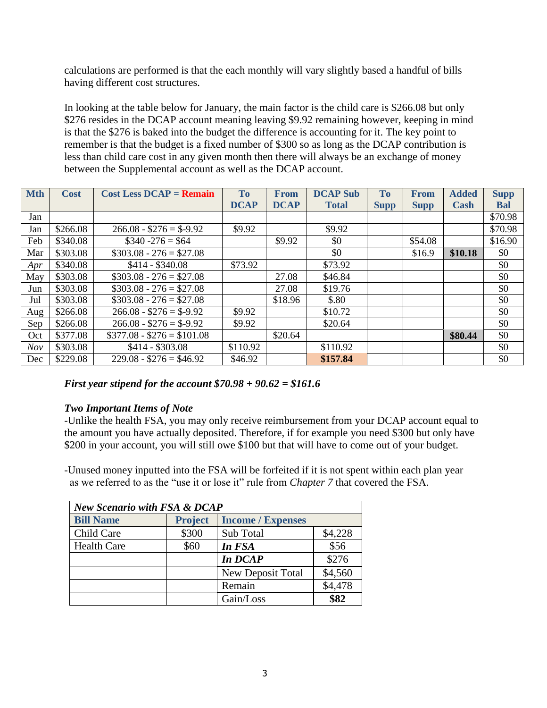calculations are performed is that the each monthly will vary slightly based a handful of bills having different cost structures.

In looking at the table below for January, the main factor is the child care is \$266.08 but only \$276 resides in the DCAP account meaning leaving \$9.92 remaining however, keeping in mind is that the \$276 is baked into the budget the difference is accounting for it. The key point to remember is that the budget is a fixed number of \$300 so as long as the DCAP contribution is less than child care cost in any given month then there will always be an exchange of money between the Supplemental account as well as the DCAP account.

| <b>Mth</b> | <b>Cost</b> | $Cost Less DCAP = Remain$  | <b>To</b>   | <b>From</b> | <b>DCAP Sub</b> | <b>To</b>   | <b>From</b> | <b>Added</b> | <b>Supp</b> |
|------------|-------------|----------------------------|-------------|-------------|-----------------|-------------|-------------|--------------|-------------|
|            |             |                            | <b>DCAP</b> | <b>DCAP</b> | <b>Total</b>    | <b>Supp</b> | <b>Supp</b> | Cash         | <b>Bal</b>  |
| Jan        |             |                            |             |             |                 |             |             |              | \$70.98     |
| Jan        | \$266.08    | $266.08 - $276 = $-9.92$   | \$9.92      |             | \$9.92          |             |             |              | \$70.98     |
| Feb        | \$340.08    | $\$340 - 276 = \$64$       |             | \$9.92      | \$0             |             | \$54.08     |              | \$16.90     |
| Mar        | \$303.08    | $$303.08 - 276 = $27.08$   |             |             | \$0             |             | \$16.9      | \$10.18      | \$0         |
| Apr        | \$340.08    | $$414 - $340.08$           | \$73.92     |             | \$73.92         |             |             |              | \$0         |
| May        | \$303.08    | $$303.08 - 276 = $27.08$   |             | 27.08       | \$46.84         |             |             |              | \$0         |
| Jun        | \$303.08    | $$303.08 - 276 = $27.08$   |             | 27.08       | \$19.76         |             |             |              | \$0         |
| Jul        | \$303.08    | $$303.08 - 276 = $27.08$   |             | \$18.96     | \$.80           |             |             |              | \$0         |
| Aug        | \$266.08    | $266.08 - $276 = $-9.92$   | \$9.92      |             | \$10.72         |             |             |              | \$0         |
| Sep        | \$266.08    | $266.08 - $276 = $-9.92$   | \$9.92      |             | \$20.64         |             |             |              | \$0         |
| Oct        | \$377.08    | $$377.08 - $276 = $101.08$ |             | \$20.64     |                 |             |             | \$80.44      | \$0         |
| Nov        | \$303.08    | $$414 - $303.08$           | \$110.92    |             | \$110.92        |             |             |              | \$0         |
| Dec        | \$229.08    | $229.08 - $276 = $46.92$   | \$46.92     |             | \$157.84        |             |             |              | \$0         |

*First year stipend for the account \$70.98 + 90.62 = \$161.6*

## *Two Important Items of Note*

-Unlike the health FSA, you may only receive reimbursement from your DCAP account equal to the amount you have actually deposited. Therefore, if for example you need \$300 but only have \$200 in your account, you will still owe \$100 but that will have to come out of your budget.

-Unused money inputted into the FSA will be forfeited if it is not spent within each plan year as we referred to as the "use it or lose it" rule from *Chapter 7* that covered the FSA.

| <b>New Scenario with FSA &amp; DCAP</b> |                |                          |         |  |
|-----------------------------------------|----------------|--------------------------|---------|--|
| <b>Bill Name</b>                        | <b>Project</b> | <b>Income / Expenses</b> |         |  |
| Child Care                              | \$300          | Sub Total                | \$4,228 |  |
| <b>Health Care</b>                      | \$60           | In FSA                   | \$56    |  |
|                                         |                | In DCAP                  | \$276   |  |
|                                         |                | New Deposit Total        | \$4,560 |  |
|                                         |                | Remain                   | \$4,478 |  |
|                                         |                | Gain/Loss                | \$82    |  |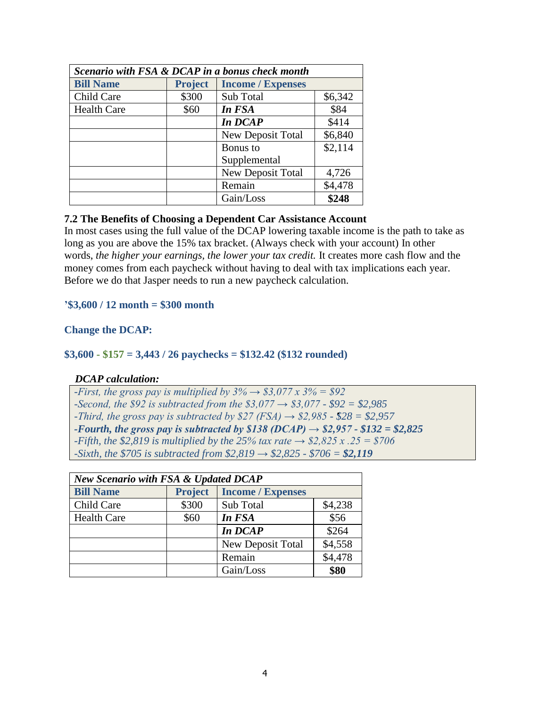| Scenario with FSA & DCAP in a bonus check month |                |                          |         |  |
|-------------------------------------------------|----------------|--------------------------|---------|--|
| <b>Bill Name</b>                                | <b>Project</b> | <b>Income / Expenses</b> |         |  |
| Child Care                                      | \$300          | Sub Total                | \$6,342 |  |
| <b>Health Care</b>                              | \$60           | In FSA                   | \$84    |  |
|                                                 |                | In DCAP                  | \$414   |  |
|                                                 |                | New Deposit Total        | \$6,840 |  |
|                                                 |                | Bonus to                 | \$2,114 |  |
|                                                 |                | Supplemental             |         |  |
|                                                 |                | <b>New Deposit Total</b> | 4,726   |  |
|                                                 |                | Remain                   | \$4,478 |  |
|                                                 |                | Gain/Loss                | \$248   |  |

## **7.2 The Benefits of Choosing a Dependent Car Assistance Account**

In most cases using the full value of the DCAP lowering taxable income is the path to take as long as you are above the 15% tax bracket. (Always check with your account) In other words, *the higher your earnings, the lower your tax credit.* It creates more cash flow and the money comes from each paycheck without having to deal with tax implications each year. Before we do that Jasper needs to run a new paycheck calculation.

## **'\$3,600 / 12 month = \$300 month**

## **Change the DCAP:**

## **\$3,600 - \$157 = 3,443 / 26 paychecks = \$132.42 (\$132 rounded)**

## *DCAP calculation:*

| -First, the gross pay is multiplied by $3\% \rightarrow $3,077 \times 3\% = $92$             |
|----------------------------------------------------------------------------------------------|
| -Second, the \$92 is subtracted from the \$3,077 $\rightarrow$ \$3,077 - \$92 = \$2,985      |
| -Third, the gross pay is subtracted by \$27 (FSA) $\rightarrow$ \$2,985 - \$28 = \$2,957     |
| -Fourth, the gross pay is subtracted by \$138 (DCAP) $\rightarrow$ \$2,957 - \$132 = \$2,825 |
| -Fifth, the \$2,819 is multiplied by the 25% tax rate $\rightarrow$ \$2,825 x .25 = \$706    |
| -Sixth, the \$705 is subtracted from \$2,819 $\rightarrow$ \$2,825 - \$706 = \$2,119         |
|                                                                                              |

| <b>New Scenario with FSA &amp; Updated DCAP</b> |                |                          |         |  |
|-------------------------------------------------|----------------|--------------------------|---------|--|
| <b>Bill Name</b>                                | <b>Project</b> | <b>Income / Expenses</b> |         |  |
| Child Care                                      | \$300          | Sub Total                | \$4,238 |  |
| <b>Health Care</b>                              | \$60           | In FSA                   | \$56    |  |
|                                                 |                | In DCAP                  | \$264   |  |
|                                                 |                | <b>New Deposit Total</b> | \$4,558 |  |
|                                                 |                | Remain                   | \$4,478 |  |
|                                                 |                | Gain/Loss                | \$80    |  |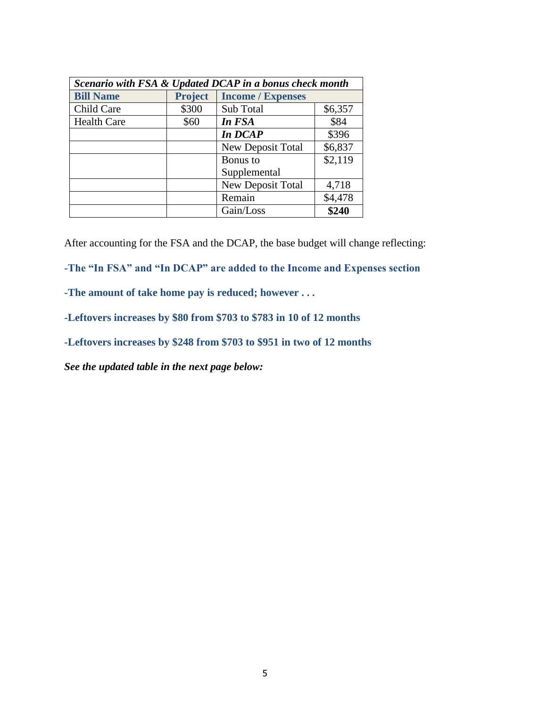| Scenario with FSA & Updated DCAP in a bonus check month |                |                          |         |  |
|---------------------------------------------------------|----------------|--------------------------|---------|--|
| <b>Bill Name</b>                                        | <b>Project</b> | <b>Income / Expenses</b> |         |  |
| Child Care                                              | \$300          | Sub Total                | \$6,357 |  |
| <b>Health Care</b>                                      | \$60           | In FSA                   | \$84    |  |
|                                                         |                | In DCAP                  | \$396   |  |
|                                                         |                | New Deposit Total        | \$6,837 |  |
|                                                         |                | Bonus to                 | \$2,119 |  |
|                                                         |                | Supplemental             |         |  |
|                                                         |                | New Deposit Total        | 4,718   |  |
|                                                         |                | Remain                   | \$4,478 |  |
|                                                         |                | Gain/Loss                | \$240   |  |

After accounting for the FSA and the DCAP, the base budget will change reflecting:

**-The "In FSA" and "In DCAP" are added to the Income and Expenses section**

**-The amount of take home pay is reduced; however . . .** 

**-Leftovers increases by \$80 from \$703 to \$783 in 10 of 12 months**

**-Leftovers increases by \$248 from \$703 to \$951 in two of 12 months**

*See the updated table in the next page below:*